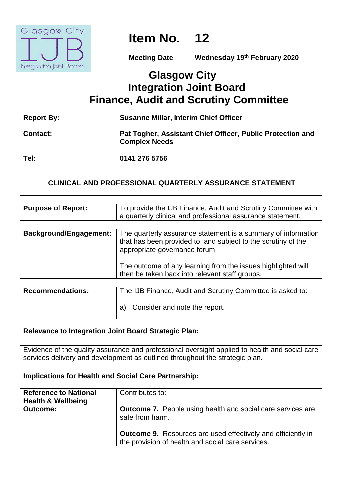

# **Item No. 12**

**Meeting Date Wednesday 19th February 2020**

## **Glasgow City Integration Joint Board Finance, Audit and Scrutiny Committee**

| <b>Report By:</b> | <b>Susanne Millar, Interim Chief Officer</b>                                       |
|-------------------|------------------------------------------------------------------------------------|
| <b>Contact:</b>   | Pat Togher, Assistant Chief Officer, Public Protection and<br><b>Complex Needs</b> |
| Tel:              | 0141 276 5756                                                                      |

#### **CLINICAL AND PROFESSIONAL QUARTERLY ASSURANCE STATEMENT**

| <b>Purpose of Report:</b>     | To provide the IJB Finance, Audit and Scrutiny Committee with<br>a quarterly clinical and professional assurance statement.                                                                                                     |
|-------------------------------|---------------------------------------------------------------------------------------------------------------------------------------------------------------------------------------------------------------------------------|
|                               |                                                                                                                                                                                                                                 |
| <b>Background/Engagement:</b> | The quarterly assurance statement is a summary of information<br>that has been provided to, and subject to the scrutiny of the<br>appropriate governance forum.<br>The outcome of any learning from the issues highlighted will |
|                               | then be taken back into relevant staff groups.                                                                                                                                                                                  |
|                               |                                                                                                                                                                                                                                 |
| <b>Recommendations:</b>       | The IJB Finance, Audit and Scrutiny Committee is asked to:                                                                                                                                                                      |
|                               | Consider and note the report.<br>a                                                                                                                                                                                              |

#### **Relevance to Integration Joint Board Strategic Plan:**

Evidence of the quality assurance and professional oversight applied to health and social care services delivery and development as outlined throughout the strategic plan.

#### **Implications for Health and Social Care Partnership:**

| <b>Reference to National</b><br><b>Health &amp; Wellbeing</b><br><b>Outcome:</b> | Contributes to:<br><b>Outcome 7.</b> People using health and social care services are  |
|----------------------------------------------------------------------------------|----------------------------------------------------------------------------------------|
|                                                                                  | safe from harm.<br><b>Outcome 9.</b> Resources are used effectively and efficiently in |
|                                                                                  | the provision of health and social care services.                                      |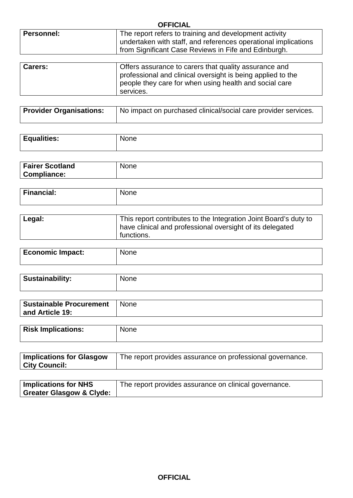| <b>OFFICIAL</b>   |                                                                                                                                                                                             |
|-------------------|---------------------------------------------------------------------------------------------------------------------------------------------------------------------------------------------|
| <b>Personnel:</b> | The report refers to training and development activity<br>undertaken with staff, and references operational implications<br>from Significant Case Reviews in Fife and Edinburgh.            |
|                   |                                                                                                                                                                                             |
| Carers:           | Offers assurance to carers that quality assurance and<br>professional and clinical oversight is being applied to the<br>people they care for when using health and social care<br>services. |

| <b>Provider Organisations:</b> | I No impact on purchased clinical/social care provider services. |
|--------------------------------|------------------------------------------------------------------|
|                                |                                                                  |

| <b>Equalities:</b> | <b>None</b> |
|--------------------|-------------|
|                    |             |

| <b>Fairer Scotland</b><br><b>None</b><br>Compliance: |
|------------------------------------------------------|
|------------------------------------------------------|

| <b>Financial:</b><br>____ | None |
|---------------------------|------|
|                           |      |

| Legal: | This report contributes to the Integration Joint Board's duty to<br>I have clinical and professional oversight of its delegated |
|--------|---------------------------------------------------------------------------------------------------------------------------------|
|        | functions.                                                                                                                      |

| <b>Economic Impact:</b> | <b>None</b> |
|-------------------------|-------------|
|                         |             |

| Sustainability: | None |
|-----------------|------|
|                 |      |

| <b>Sustainable Procurement</b><br>and Article 19: | <b>None</b> |
|---------------------------------------------------|-------------|
|                                                   |             |
| <b>Risk Implications:</b>                         | <b>None</b> |

| <b>Implications for Glasgow</b> | The report provides assurance on professional governance. |
|---------------------------------|-----------------------------------------------------------|
| City Council:                   |                                                           |

| <b>Implications for NHS</b> | The report provides assurance on clinical governance. |
|-----------------------------|-------------------------------------------------------|
| Greater Glasgow & Clyde:    |                                                       |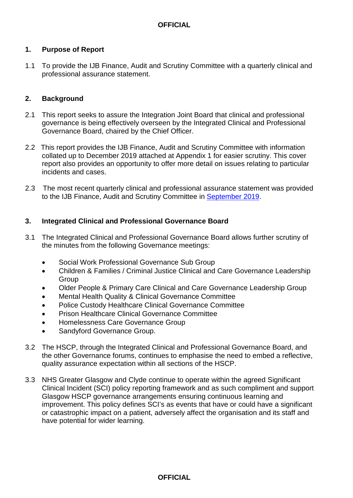#### **1. Purpose of Report**

1.1 To provide the IJB Finance, Audit and Scrutiny Committee with a quarterly clinical and professional assurance statement.

#### **2. Background**

- 2.1 This report seeks to assure the Integration Joint Board that clinical and professional governance is being effectively overseen by the Integrated Clinical and Professional Governance Board, chaired by the Chief Officer.
- 2.2This report provides the IJB Finance, Audit and Scrutiny Committee with information collated up to December 2019 attached at Appendix 1 for easier scrutiny. This cover report also provides an opportunity to offer more detail on issues relating to particular incidents and cases.
- 2.3 The most recent quarterly clinical and professional assurance statement was provided to the IJB Finance, Audit and Scrutiny Committee in [September 2019.](https://glasgowcity.hscp.scot/index.php/meeting/4-september-2019)

#### **3. Integrated Clinical and Professional Governance Board**

- 3.1 The Integrated Clinical and Professional Governance Board allows further scrutiny of the minutes from the following Governance meetings:
	- Social Work Professional Governance Sub Group
	- Children & Families / Criminal Justice Clinical and Care Governance Leadership Group
	- Older People & Primary Care Clinical and Care Governance Leadership Group
	- Mental Health Quality & Clinical Governance Committee
	- Police Custody Healthcare Clinical Governance Committee
	- Prison Healthcare Clinical Governance Committee
	- Homelessness Care Governance Group
	- Sandyford Governance Group.
- 3.2 The HSCP, through the Integrated Clinical and Professional Governance Board, and the other Governance forums, continues to emphasise the need to embed a reflective, quality assurance expectation within all sections of the HSCP.
- 3.3 NHS Greater Glasgow and Clyde continue to operate within the agreed Significant Clinical Incident (SCI) policy reporting framework and as such compliment and support Glasgow HSCP governance arrangements ensuring continuous learning and improvement. This policy defines SCI's as events that have or could have a significant or catastrophic impact on a patient, adversely affect the organisation and its staff and have potential for wider learning.

**OFFICIAL**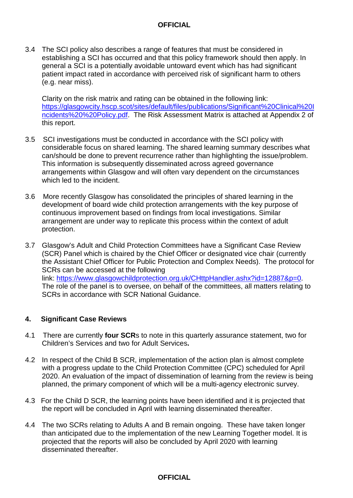3.4 The SCI policy also describes a range of features that must be considered in establishing a SCI has occurred and that this policy framework should then apply. In general a SCI is a potentially avoidable untoward event which has had significant patient impact rated in accordance with perceived risk of significant harm to others (e.g. near miss).

Clarity on the risk matrix and rating can be obtained in the following link: [https://glasgowcity.hscp.scot/sites/default/files/publications/Significant%20Clinical%20I](https://glasgowcity.hscp.scot/sites/default/files/publications/Significant%20Clinical%20Incidents%20%20Policy.pdf) [ncidents%20%20Policy.pdf.](https://glasgowcity.hscp.scot/sites/default/files/publications/Significant%20Clinical%20Incidents%20%20Policy.pdf) The Risk Assessment Matrix is attached at Appendix 2 of this report.

- 3.5 SCI investigations must be conducted in accordance with the SCI policy with considerable focus on shared learning. The shared learning summary describes what can/should be done to prevent recurrence rather than highlighting the issue/problem. This information is subsequently disseminated across agreed governance arrangements within Glasgow and will often vary dependent on the circumstances which led to the incident.
- 3.6 More recently Glasgow has consolidated the principles of shared learning in the development of board wide child protection arrangements with the key purpose of continuous improvement based on findings from local investigations. Similar arrangement are under way to replicate this process within the context of adult protection.
- 3.7 Glasgow's Adult and Child Protection Committees have a Significant Case Review (SCR) Panel which is chaired by the Chief Officer or designated vice chair (currently the Assistant Chief Officer for Public Protection and Complex Needs). The protocol for SCRs can be accessed at the following link: [https://www.glasgowchildprotection.org.uk/CHttpHandler.ashx?id=12887&p=0.](https://www.glasgowchildprotection.org.uk/CHttpHandler.ashx?id=12887&p=0) The role of the panel is to oversee, on behalf of the committees, all matters relating to SCRs in accordance with SCR National Guidance.

#### **4. Significant Case Reviews**

- 4.1 There are currently **four SCR**s to note in this quarterly assurance statement, two for Children's Services and two for Adult Services**.**
- 4.2 In respect of the Child B SCR, implementation of the action plan is almost complete with a progress update to the Child Protection Committee (CPC) scheduled for April 2020. An evaluation of the impact of dissemination of learning from the review is being planned, the primary component of which will be a multi-agency electronic survey.
- 4.3 For the Child D SCR, the learning points have been identified and it is projected that the report will be concluded in April with learning disseminated thereafter.
- 4.4 The two SCRs relating to Adults A and B remain ongoing. These have taken longer than anticipated due to the implementation of the new Learning Together model. It is projected that the reports will also be concluded by April 2020 with learning disseminated thereafter.

#### **OFFICIAL**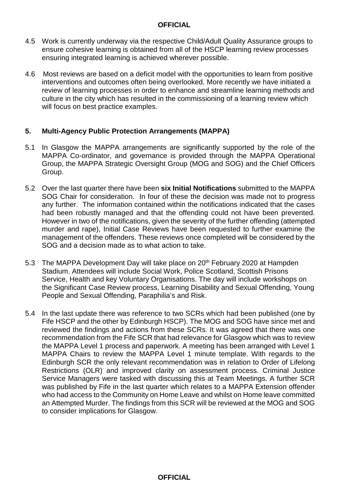- 4.5 Work is currently underway via the respective Child/Adult Quality Assurance groups to ensure cohesive learning is obtained from all of the HSCP learning review processes ensuring integrated learning is achieved wherever possible.
- 4.6 Most reviews are based on a deficit model with the opportunities to learn from positive interventions and outcomes often being overlooked. More recently we have initiated a review of learning processes in order to enhance and streamline learning methods and culture in the city which has resulted in the commissioning of a learning review which will focus on best practice examples.

#### **5. Multi-Agency Public Protection Arrangements (MAPPA)**

- 5.1 In Glasgow the MAPPA arrangements are significantly supported by the role of the MAPPA Co-ordinator, and governance is provided through the MAPPA Operational Group, the MAPPA Strategic Oversight Group (MOG and SOG) and the Chief Officers Group.
- 5.2 Over the last quarter there have been **six Initial Notifications** submitted to the MAPPA SOG Chair for consideration. In four of these the decision was made not to progress any further. The information contained within the notifications indicated that the cases had been robustly managed and that the offending could not have been prevented. However in two of the notifications, given the severity of the further offending (attempted murder and rape), Initial Case Reviews have been requested to further examine the management of the offenders. These reviews once completed will be considered by the SOG and a decision made as to what action to take.
- 5.3 The MAPPA Development Day will take place on 20<sup>th</sup> February 2020 at Hampden Stadium. Attendees will include Social Work, Police Scotland, Scottish Prisons Service, Health and key Voluntary Organisations. The day will include workshops on the Significant Case Review process, Learning Disability and Sexual Offending, Young People and Sexual Offending, Paraphilia's and Risk.
- 5.4 In the last update there was reference to two SCRs which had been published (one by Fife HSCP and the other by Edinburgh HSCP). The MOG and SOG have since met and reviewed the findings and actions from these SCRs. It was agreed that there was one recommendation from the Fife SCR that had relevance for Glasgow which was to review the MAPPA Level 1 process and paperwork. A meeting has been arranged with Level 1 MAPPA Chairs to review the MAPPA Level 1 minute template. With regards to the Edinburgh SCR the only relevant recommendation was in relation to Order of Lifelong Restrictions (OLR) and improved clarity on assessment process. Criminal Justice Service Managers were tasked with discussing this at Team Meetings. A further SCR was published by Fife in the last quarter which relates to a MAPPA Extension offender who had access to the Community on Home Leave and whilst on Home leave committed an Attempted Murder. The findings from this SCR will be reviewed at the MOG and SOG to consider implications for Glasgow.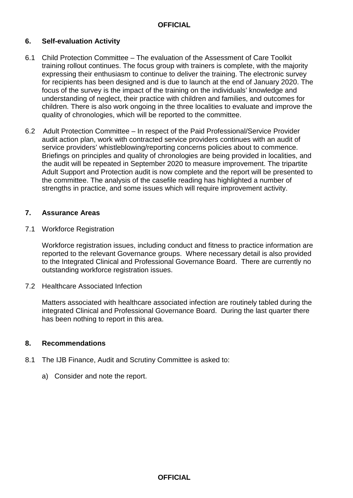#### **6. Self-evaluation Activity**

- 6.1 Child Protection Committee The evaluation of the Assessment of Care Toolkit training rollout continues. The focus group with trainers is complete, with the majority expressing their enthusiasm to continue to deliver the training. The electronic survey for recipients has been designed and is due to launch at the end of January 2020. The focus of the survey is the impact of the training on the individuals' knowledge and understanding of neglect, their practice with children and families, and outcomes for children. There is also work ongoing in the three localities to evaluate and improve the quality of chronologies, which will be reported to the committee.
- 6.2 Adult Protection Committee In respect of the Paid Professional/Service Provider audit action plan, work with contracted service providers continues with an audit of service providers' whistleblowing/reporting concerns policies about to commence. Briefings on principles and quality of chronologies are being provided in localities, and the audit will be repeated in September 2020 to measure improvement. The tripartite Adult Support and Protection audit is now complete and the report will be presented to the committee. The analysis of the casefile reading has highlighted a number of strengths in practice, and some issues which will require improvement activity.

#### **7.****Assurance Areas**

7.1Workforce Registration

Workforce registration issues, including conduct and fitness to practice information are reported to the relevant Governance groups. Where necessary detail is also provided to the Integrated Clinical and Professional Governance Board. There are currently no outstanding workforce registration issues.

7.2 Healthcare Associated Infection

Matters associated with healthcare associated infection are routinely tabled during the integrated Clinical and Professional Governance Board. During the last quarter there has been nothing to report in this area.

#### **8. Recommendations**

- 8.1 The IJB Finance, Audit and Scrutiny Committee is asked to:
	- a) Consider and note the report.

**OFFICIAL**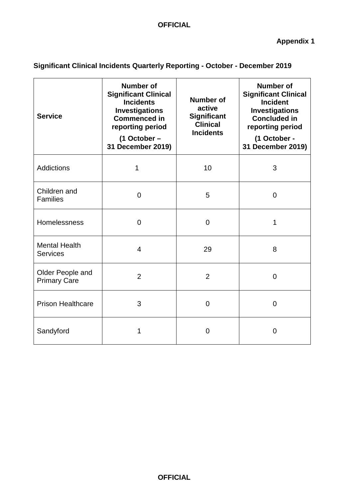**Significant Clinical Incidents Quarterly Reporting - October - December 2019**

| <b>Service</b>                          | <b>Number of</b><br><b>Significant Clinical</b><br><b>Incidents</b><br><b>Investigations</b><br><b>Commenced in</b><br>reporting period<br>(1 October -<br>31 December 2019) | <b>Number of</b><br>active<br><b>Significant</b><br><b>Clinical</b><br><b>Incidents</b> | <b>Number of</b><br><b>Significant Clinical</b><br><b>Incident</b><br>Investigations<br><b>Concluded in</b><br>reporting period<br>(1 October -<br>31 December 2019) |  |
|-----------------------------------------|------------------------------------------------------------------------------------------------------------------------------------------------------------------------------|-----------------------------------------------------------------------------------------|----------------------------------------------------------------------------------------------------------------------------------------------------------------------|--|
| <b>Addictions</b>                       | 1                                                                                                                                                                            | 10                                                                                      | 3                                                                                                                                                                    |  |
| Children and<br><b>Families</b>         | $\overline{0}$                                                                                                                                                               | 5                                                                                       | $\overline{0}$                                                                                                                                                       |  |
| <b>Homelessness</b>                     | $\overline{0}$                                                                                                                                                               | $\overline{0}$                                                                          | 1                                                                                                                                                                    |  |
| <b>Mental Health</b><br><b>Services</b> | $\overline{4}$                                                                                                                                                               | 29                                                                                      | 8                                                                                                                                                                    |  |
| Older People and<br><b>Primary Care</b> | $\overline{2}$                                                                                                                                                               | $\overline{2}$                                                                          | $\overline{0}$                                                                                                                                                       |  |
| <b>Prison Healthcare</b>                | 3                                                                                                                                                                            | $\overline{0}$                                                                          | $\Omega$                                                                                                                                                             |  |
| Sandyford                               | 1<br>$\overline{0}$                                                                                                                                                          |                                                                                         | $\overline{0}$                                                                                                                                                       |  |